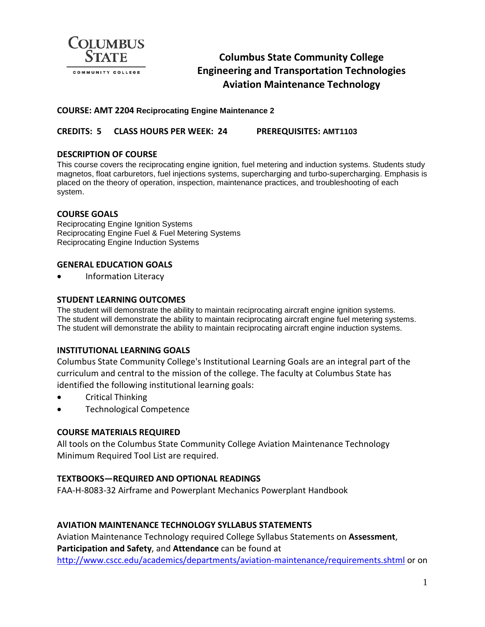

# **Columbus State Community College Engineering and Transportation Technologies Aviation Maintenance Technology**

# **COURSE: AMT 2204 Reciprocating Engine Maintenance 2**

# **CREDITS: 5 CLASS HOURS PER WEEK: 24 PREREQUISITES: AMT1103**

# **DESCRIPTION OF COURSE**

This course covers the reciprocating engine ignition, fuel metering and induction systems. Students study magnetos, float carburetors, fuel injections systems, supercharging and turbo-supercharging. Emphasis is placed on the theory of operation, inspection, maintenance practices, and troubleshooting of each system.

# **COURSE GOALS**

Reciprocating Engine Ignition Systems Reciprocating Engine Fuel & Fuel Metering Systems Reciprocating Engine Induction Systems

# **GENERAL EDUCATION GOALS**

• Information Literacy

# **STUDENT LEARNING OUTCOMES**

The student will demonstrate the ability to maintain reciprocating aircraft engine ignition systems. The student will demonstrate the ability to maintain reciprocating aircraft engine fuel metering systems. The student will demonstrate the ability to maintain reciprocating aircraft engine induction systems.

#### **INSTITUTIONAL LEARNING GOALS**

Columbus State Community College's Institutional Learning Goals are an integral part of the curriculum and central to the mission of the college. The faculty at Columbus State has identified the following institutional learning goals:

- Critical Thinking
- Technological Competence

#### **COURSE MATERIALS REQUIRED**

All tools on the Columbus State Community College Aviation Maintenance Technology Minimum Required Tool List are required.

#### **TEXTBOOKS—REQUIRED AND OPTIONAL READINGS**

FAA-H-8083-32 Airframe and Powerplant Mechanics Powerplant Handbook

# **AVIATION MAINTENANCE TECHNOLOGY SYLLABUS STATEMENTS**

Aviation Maintenance Technology required College Syllabus Statements on **Assessment**, **Participation and Safety**, and **Attendance** can be found at <http://www.cscc.edu/academics/departments/aviation-maintenance/requirements.shtml> or on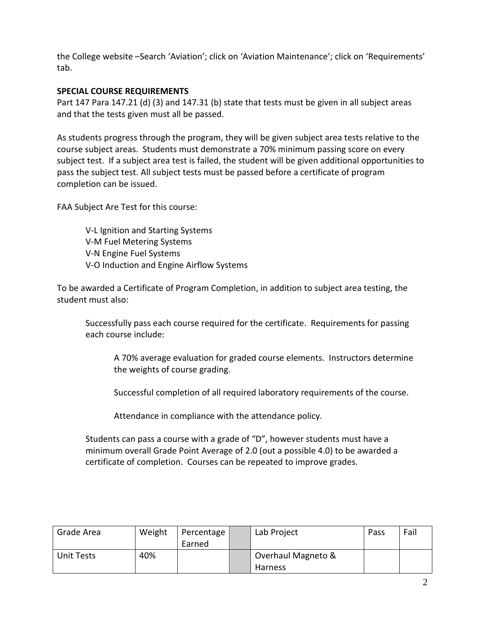the College website –Search 'Aviation'; click on 'Aviation Maintenance'; click on 'Requirements' tab.

# **SPECIAL COURSE REQUIREMENTS**

Part 147 Para 147.21 (d) (3) and 147.31 (b) state that tests must be given in all subject areas and that the tests given must all be passed.

As students progress through the program, they will be given subject area tests relative to the course subject areas. Students must demonstrate a 70% minimum passing score on every subject test. If a subject area test is failed, the student will be given additional opportunities to pass the subject test. All subject tests must be passed before a certificate of program completion can be issued.

FAA Subject Are Test for this course:

V-L Ignition and Starting Systems V-M Fuel Metering Systems V-N Engine Fuel Systems V-O Induction and Engine Airflow Systems

To be awarded a Certificate of Program Completion, in addition to subject area testing, the student must also:

Successfully pass each course required for the certificate. Requirements for passing each course include:

A 70% average evaluation for graded course elements. Instructors determine the weights of course grading.

Successful completion of all required laboratory requirements of the course.

Attendance in compliance with the attendance policy.

Students can pass a course with a grade of "D", however students must have a minimum overall Grade Point Average of 2.0 (out a possible 4.0) to be awarded a certificate of completion. Courses can be repeated to improve grades.

| Grade Area | Weight | Percentage<br>Earned | Lab Project                          | Pass | Fail |
|------------|--------|----------------------|--------------------------------------|------|------|
| Unit Tests | 40%    |                      | Overhaul Magneto &<br><b>Harness</b> |      |      |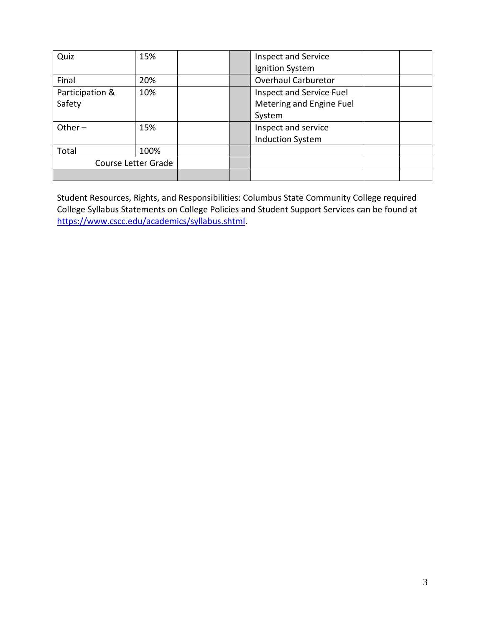| Quiz                | 15%  |  | <b>Inspect and Service</b> |  |
|---------------------|------|--|----------------------------|--|
|                     |      |  | Ignition System            |  |
| Final               | 20%  |  | <b>Overhaul Carburetor</b> |  |
| Participation &     | 10%  |  | Inspect and Service Fuel   |  |
| Safety              |      |  | Metering and Engine Fuel   |  |
|                     |      |  | System                     |  |
| Other $-$<br>15%    |      |  | Inspect and service        |  |
|                     |      |  | <b>Induction System</b>    |  |
| Total               | 100% |  |                            |  |
| Course Letter Grade |      |  |                            |  |
|                     |      |  |                            |  |

Student Resources, Rights, and Responsibilities: Columbus State Community College required College Syllabus Statements on College Policies and Student Support Services can be found at [https://www.cscc.edu/academics/syllabus.shtml.](https://www.cscc.edu/academics/syllabus.shtml)